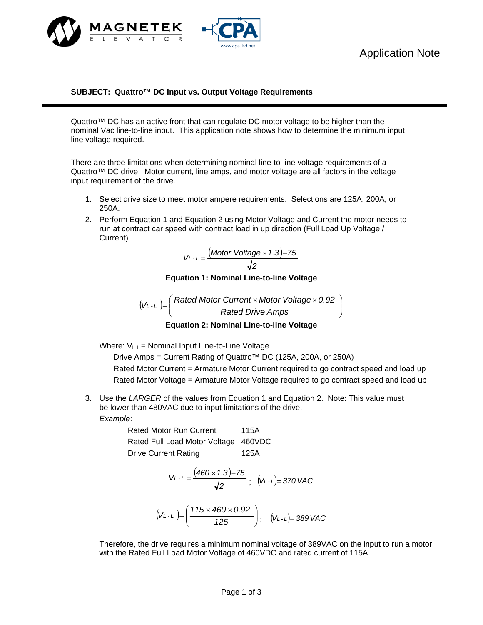



## **SUBJECT: Quattro™ DC Input vs. Output Voltage Requirements**

Quattro™ DC has an active front that can regulate DC motor voltage to be higher than the nominal Vac line-to-line input. This application note shows how to determine the minimum input line voltage required.

There are three limitations when determining nominal line-to-line voltage requirements of a Quattro™ DC drive. Motor current, line amps, and motor voltage are all factors in the voltage input requirement of the drive.

- 1. Select drive size to meet motor ampere requirements. Selections are 125A, 200A, or 250A.
- 2. Perform Equation 1 and Equation 2 using Motor Voltage and Current the motor needs to run at contract car speed with contract load in up direction (Full Load Up Voltage / Current)

$$
V_{L-L} = \frac{(Motor Voltage \times 1.3) - 75}{\sqrt{2}}
$$

**Equation 1: Nominal Line-to-line Voltage** 

$$
(V_{L-L}) = \left(\frac{\text{Rated Motor Current} \times \text{Motor Voltage} \times 0.92}{\text{Rated Drive Amps}}\right)
$$

**Equation 2: Nominal Line-to-line Voltage** 

Where:  $V_{L-L}$  = Nominal Input Line-to-Line Voltage

Drive Amps = Current Rating of Quattro<sup>™</sup> DC (125A, 200A, or 250A) Rated Motor Current = Armature Motor Current required to go contract speed and load up Rated Motor Voltage = Armature Motor Voltage required to go contract speed and load up

3. Use the *LARGER* of the values from Equation 1 and Equation 2. Note: This value must be lower than 480VAC due to input limitations of the drive.

*Example*:

Rated Motor Run Current 115A Rated Full Load Motor Voltage 460VDC Drive Current Rating 125A

$$
V_{L-L} = \frac{(460 \times 1.3) - 75}{\sqrt{2}}; (V_{L-L}) = 370 \text{ VAC}
$$

$$
(V_{L-L}) = \left(\frac{115 \times 460 \times 0.92}{125}\right); (V_{L-L}) = 389 \text{ VAC}
$$

Therefore, the drive requires a minimum nominal voltage of 389VAC on the input to run a motor with the Rated Full Load Motor Voltage of 460VDC and rated current of 115A.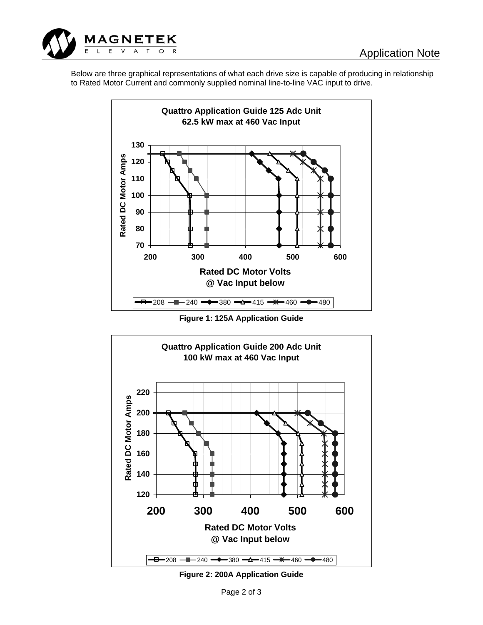

Below are three graphical representations of what each drive size is capable of producing in relationship to Rated Motor Current and commonly supplied nominal line-to-line VAC input to drive.



**Figure 1: 125A Application Guide** 



**Figure 2: 200A Application Guide**